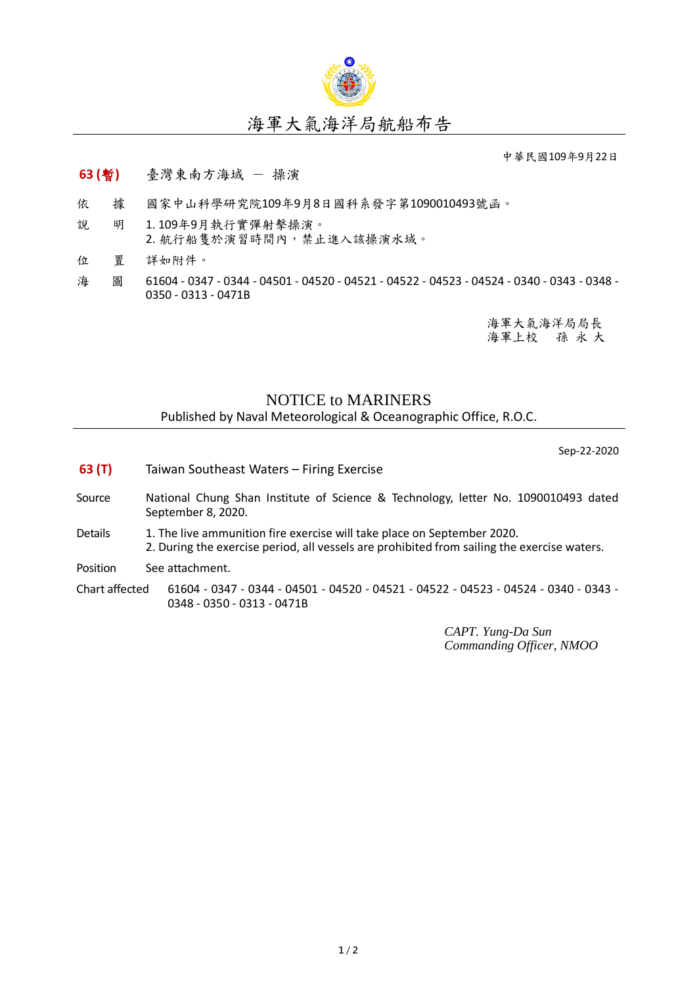

中華民國109年9月22日

## **63 (**暫**)** 臺灣東南方海域 - 操演

- 依 據 國家中山科學研究院109年9月8日國科系發字第1090010493號函。
- 說 明 1. 109年9月執行實彈射擊操演。 2. 航行船隻於演習時間內,禁止進入該操演水域。
- 位 置 詳如附件。
- 海 圖 61604 0347 0344 04501 04520 04521 04522 04523 04524 0340 0343 0348 -0350 - 0313 - 0471B

海軍大氣海洋局局長 海軍上校 孫 永 大

## NOTICE to MARINERS

Published by Naval Meteorological & Oceanographic Office, R.O.C.

Sep-22-2020

- **63 (T)** Taiwan Southeast Waters Firing Exercise
- Source National Chung Shan Institute of Science & Technology, letter No. 1090010493 dated September 8, 2020.
- Details 1. The live ammunition fire exercise will take place on September 2020. 2. During the exercise period, all vessels are prohibited from sailing the exercise waters.

Position See attachment.

Chart affected 61604 - 0347 - 0344 - 04501 - 04520 - 04521 - 04522 - 04523 - 04524 - 0340 - 0343 - 0348 - 0350 - 0313 - 0471B

> *CAPT. Yung-Da Sun Commanding Officer, NMOO*